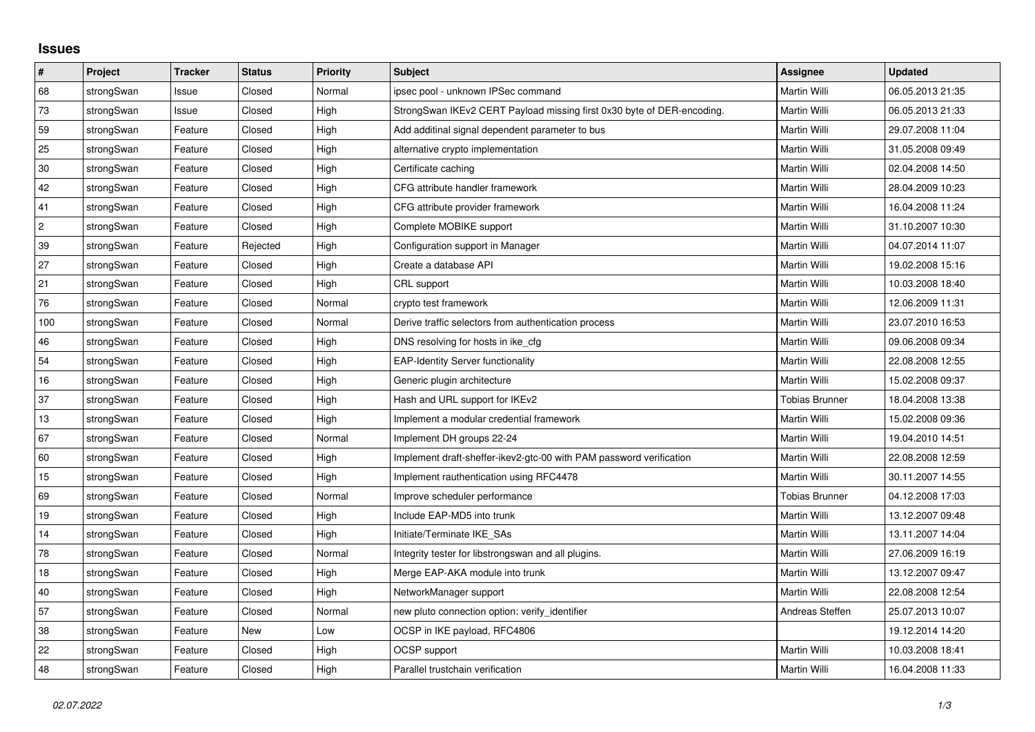## **Issues**

| $\vert$ #      | Project    | <b>Tracker</b> | <b>Status</b> | Priority | Subject                                                                | Assignee              | <b>Updated</b>   |
|----------------|------------|----------------|---------------|----------|------------------------------------------------------------------------|-----------------------|------------------|
| 68             | strongSwan | Issue          | Closed        | Normal   | ipsec pool - unknown IPSec command                                     | <b>Martin Willi</b>   | 06.05.2013 21:35 |
| 73             | strongSwan | Issue          | Closed        | High     | StrongSwan IKEv2 CERT Payload missing first 0x30 byte of DER-encoding. | Martin Willi          | 06.05.2013 21:33 |
| 59             | strongSwan | Feature        | Closed        | High     | Add additinal signal dependent parameter to bus                        | Martin Willi          | 29.07.2008 11:04 |
| 25             | strongSwan | Feature        | Closed        | High     | alternative crypto implementation                                      | Martin Willi          | 31.05.2008 09:49 |
| $30\,$         | strongSwan | Feature        | Closed        | High     | Certificate caching                                                    | Martin Willi          | 02.04.2008 14:50 |
| 42             | strongSwan | Feature        | Closed        | High     | CFG attribute handler framework                                        | Martin Willi          | 28.04.2009 10:23 |
| 41             | strongSwan | Feature        | Closed        | High     | CFG attribute provider framework                                       | <b>Martin Willi</b>   | 16.04.2008 11:24 |
| $\overline{c}$ | strongSwan | Feature        | Closed        | High     | Complete MOBIKE support                                                | Martin Willi          | 31.10.2007 10:30 |
| 39             | strongSwan | Feature        | Rejected      | High     | Configuration support in Manager                                       | Martin Willi          | 04.07.2014 11:07 |
| 27             | strongSwan | Feature        | Closed        | High     | Create a database API                                                  | <b>Martin Willi</b>   | 19.02.2008 15:16 |
| 21             | strongSwan | Feature        | Closed        | High     | CRL support                                                            | <b>Martin Willi</b>   | 10.03.2008 18:40 |
| 76             | strongSwan | Feature        | Closed        | Normal   | crypto test framework                                                  | Martin Willi          | 12.06.2009 11:31 |
| 100            | strongSwan | Feature        | Closed        | Normal   | Derive traffic selectors from authentication process                   | <b>Martin Willi</b>   | 23.07.2010 16:53 |
| 46             | strongSwan | Feature        | Closed        | High     | DNS resolving for hosts in ike_cfg                                     | Martin Willi          | 09.06.2008 09:34 |
| 54             | strongSwan | Feature        | Closed        | High     | <b>EAP-Identity Server functionality</b>                               | Martin Willi          | 22.08.2008 12:55 |
| 16             | strongSwan | Feature        | Closed        | High     | Generic plugin architecture                                            | <b>Martin Willi</b>   | 15.02.2008 09:37 |
| 37             | strongSwan | Feature        | Closed        | High     | Hash and URL support for IKEv2                                         | <b>Tobias Brunner</b> | 18.04.2008 13:38 |
| 13             | strongSwan | Feature        | Closed        | High     | Implement a modular credential framework                               | Martin Willi          | 15.02.2008 09:36 |
| 67             | strongSwan | Feature        | Closed        | Normal   | Implement DH groups 22-24                                              | <b>Martin Willi</b>   | 19.04.2010 14:51 |
| 60             | strongSwan | Feature        | Closed        | High     | Implement draft-sheffer-ikev2-gtc-00 with PAM password verification    | Martin Willi          | 22.08.2008 12:59 |
| 15             | strongSwan | Feature        | Closed        | High     | Implement rauthentication using RFC4478                                | Martin Willi          | 30.11.2007 14:55 |
| 69             | strongSwan | Feature        | Closed        | Normal   | Improve scheduler performance                                          | <b>Tobias Brunner</b> | 04.12.2008 17:03 |
| 19             | strongSwan | Feature        | Closed        | High     | Include EAP-MD5 into trunk                                             | Martin Willi          | 13.12.2007 09:48 |
| 14             | strongSwan | Feature        | Closed        | High     | Initiate/Terminate IKE SAs                                             | Martin Willi          | 13.11.2007 14:04 |
| 78             | strongSwan | Feature        | Closed        | Normal   | Integrity tester for libstrongswan and all plugins.                    | <b>Martin Willi</b>   | 27.06.2009 16:19 |
| 18             | strongSwan | Feature        | Closed        | High     | Merge EAP-AKA module into trunk                                        | Martin Willi          | 13.12.2007 09:47 |
| $40\,$         | strongSwan | Feature        | Closed        | High     | NetworkManager support                                                 | <b>Martin Willi</b>   | 22.08.2008 12:54 |
| 57             | strongSwan | Feature        | Closed        | Normal   | new pluto connection option: verify_identifier                         | Andreas Steffen       | 25.07.2013 10:07 |
| 38             | strongSwan | Feature        | <b>New</b>    | Low      | OCSP in IKE payload, RFC4806                                           |                       | 19.12.2014 14:20 |
| 22             | strongSwan | Feature        | Closed        | High     | OCSP support                                                           | <b>Martin Willi</b>   | 10.03.2008 18:41 |
| 48             | strongSwan | Feature        | Closed        | High     | Parallel trustchain verification                                       | Martin Willi          | 16.04.2008 11:33 |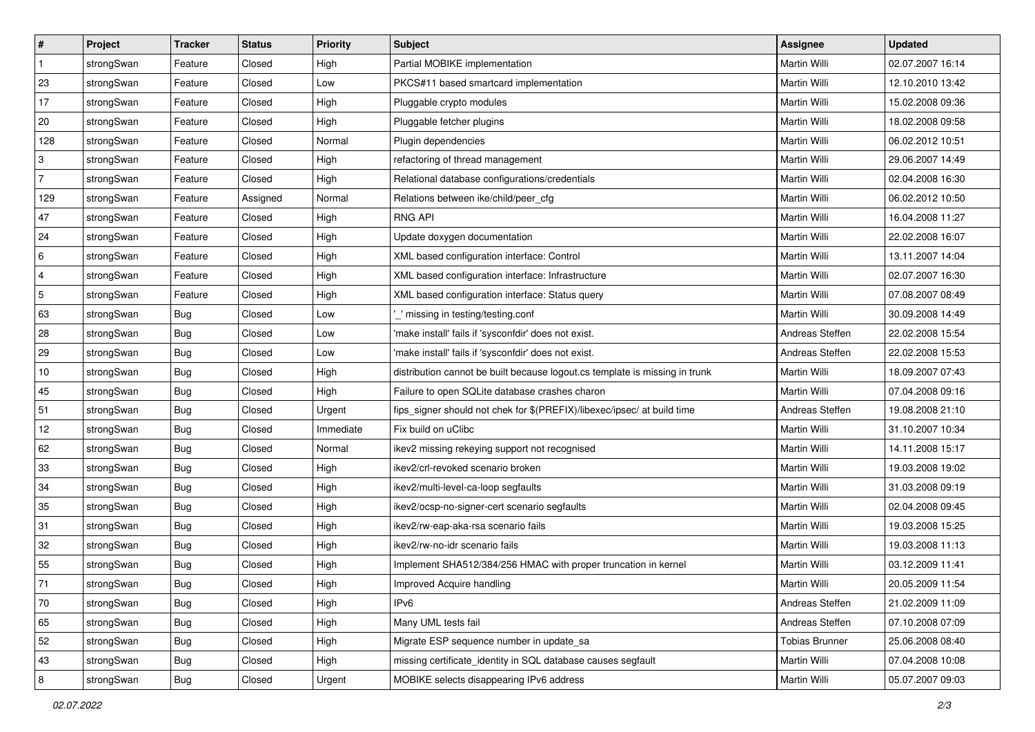| $\vert$ #      | Project    | <b>Tracker</b> | <b>Status</b> | Priority  | <b>Subject</b>                                                              | <b>Assignee</b>       | <b>Updated</b>   |
|----------------|------------|----------------|---------------|-----------|-----------------------------------------------------------------------------|-----------------------|------------------|
| $\mathbf{1}$   | strongSwan | Feature        | Closed        | High      | Partial MOBIKE implementation                                               | Martin Willi          | 02.07.2007 16:14 |
| 23             | strongSwan | Feature        | Closed        | Low       | PKCS#11 based smartcard implementation                                      | <b>Martin Willi</b>   | 12.10.2010 13:42 |
| $17$           | strongSwan | Feature        | Closed        | High      | Pluggable crypto modules                                                    | Martin Willi          | 15.02.2008 09:36 |
| 20             | strongSwan | Feature        | Closed        | High      | Pluggable fetcher plugins                                                   | Martin Willi          | 18.02.2008 09:58 |
| 128            | strongSwan | Feature        | Closed        | Normal    | Plugin dependencies                                                         | Martin Willi          | 06.02.2012 10:51 |
| 3              | strongSwan | Feature        | Closed        | High      | refactoring of thread management                                            | Martin Willi          | 29.06.2007 14:49 |
| $\overline{7}$ | strongSwan | Feature        | Closed        | High      | Relational database configurations/credentials                              | Martin Willi          | 02.04.2008 16:30 |
| 129            | strongSwan | Feature        | Assigned      | Normal    | Relations between ike/child/peer_cfg                                        | Martin Willi          | 06.02.2012 10:50 |
| 47             | strongSwan | Feature        | Closed        | High      | <b>RNG API</b>                                                              | Martin Willi          | 16.04.2008 11:27 |
| 24             | strongSwan | Feature        | Closed        | High      | Update doxygen documentation                                                | Martin Willi          | 22.02.2008 16:07 |
| 6              | strongSwan | Feature        | Closed        | High      | XML based configuration interface: Control                                  | Martin Willi          | 13.11.2007 14:04 |
| 4              | strongSwan | Feature        | Closed        | High      | XML based configuration interface: Infrastructure                           | Martin Willi          | 02.07.2007 16:30 |
| $\sqrt{5}$     | strongSwan | Feature        | Closed        | High      | XML based configuration interface: Status query                             | Martin Willi          | 07.08.2007 08:49 |
| 63             | strongSwan | Bug            | Closed        | Low       | ' missing in testing/testing.conf                                           | Martin Willi          | 30.09.2008 14:49 |
| 28             | strongSwan | <b>Bug</b>     | Closed        | Low       | 'make install' fails if 'sysconfdir' does not exist.                        | Andreas Steffen       | 22.02.2008 15:54 |
| 29             | strongSwan | Bug            | Closed        | Low       | 'make install' fails if 'sysconfdir' does not exist.                        | Andreas Steffen       | 22.02.2008 15:53 |
| 10             | strongSwan | <b>Bug</b>     | Closed        | High      | distribution cannot be built because logout.cs template is missing in trunk | Martin Willi          | 18.09.2007 07:43 |
| 45             | strongSwan | <b>Bug</b>     | Closed        | High      | Failure to open SQLite database crashes charon                              | Martin Willi          | 07.04.2008 09:16 |
| 51             | strongSwan | Bug            | Closed        | Urgent    | fips_signer should not chek for \$(PREFIX)/libexec/ipsec/ at build time     | Andreas Steffen       | 19.08.2008 21:10 |
| 12             | strongSwan | Bug            | Closed        | Immediate | Fix build on uClibc                                                         | Martin Willi          | 31.10.2007 10:34 |
| 62             | strongSwan | <b>Bug</b>     | Closed        | Normal    | ikev2 missing rekeying support not recognised                               | Martin Willi          | 14.11.2008 15:17 |
| 33             | strongSwan | <b>Bug</b>     | Closed        | High      | ikev2/crl-revoked scenario broken                                           | Martin Willi          | 19.03.2008 19:02 |
| 34             | strongSwan | <b>Bug</b>     | Closed        | High      | ikev2/multi-level-ca-loop segfaults                                         | Martin Willi          | 31.03.2008 09:19 |
| 35             | strongSwan | <b>Bug</b>     | Closed        | High      | ikev2/ocsp-no-signer-cert scenario segfaults                                | Martin Willi          | 02.04.2008 09:45 |
| 31             | strongSwan | Bug            | Closed        | High      | ikev2/rw-eap-aka-rsa scenario fails                                         | Martin Willi          | 19.03.2008 15:25 |
| 32             | strongSwan | <b>Bug</b>     | Closed        | High      | ikev2/rw-no-idr scenario fails                                              | Martin Willi          | 19.03.2008 11:13 |
| 55             | strongSwan | Bug            | Closed        | High      | Implement SHA512/384/256 HMAC with proper truncation in kernel              | Martin Willi          | 03.12.2009 11:41 |
| $71\,$         | strongSwan | Bug            | Closed        | High      | Improved Acquire handling                                                   | Martin Willi          | 20.05.2009 11:54 |
| 70             | strongSwan | Bug            | Closed        | High      | IPv6                                                                        | Andreas Steffen       | 21.02.2009 11:09 |
| 65             | strongSwan | Bug            | Closed        | High      | Many UML tests fail                                                         | Andreas Steffen       | 07.10.2008 07:09 |
| 52             | strongSwan | Bug            | Closed        | High      | Migrate ESP sequence number in update_sa                                    | <b>Tobias Brunner</b> | 25.06.2008 08:40 |
| 43             | strongSwan | Bug            | Closed        | High      | missing certificate_identity in SQL database causes segfault                | Martin Willi          | 07.04.2008 10:08 |
| $\bf 8$        | strongSwan | Bug            | Closed        | Urgent    | MOBIKE selects disappearing IPv6 address                                    | Martin Willi          | 05.07.2007 09:03 |